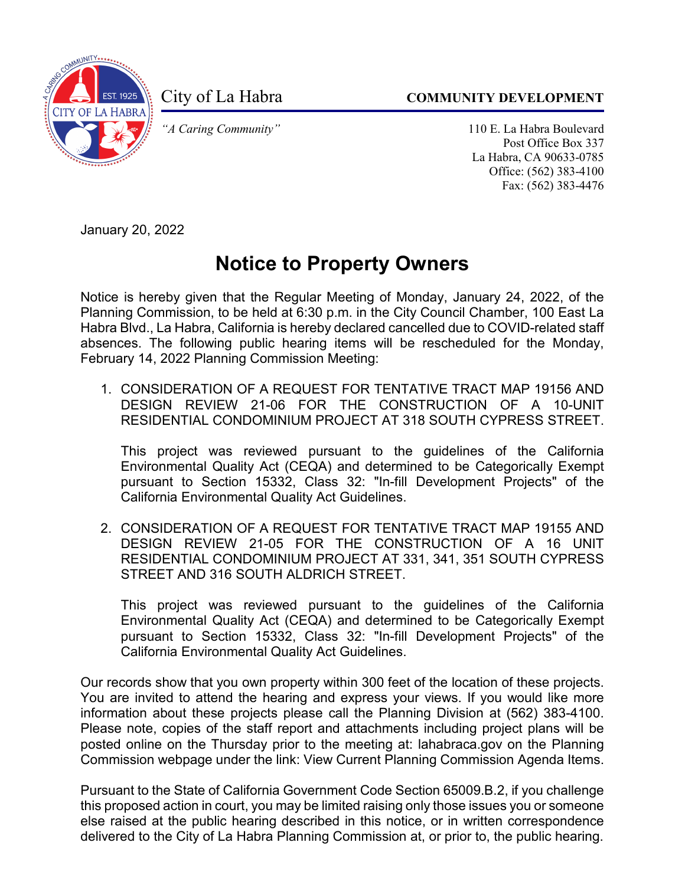

City of La Habra **COMMUNITY DEVELOPMENT** 

*"A Caring Community"* 110 E. La Habra Boulevard Post Office Box 337 La Habra, CA 90633-0785 Office: (562) 383-4100 Fax: (562) 383-4476

January 20, 2022

## **Notice to Property Owners**

Notice is hereby given that the Regular Meeting of Monday, January 24, 2022, of the Planning Commission, to be held at 6:30 p.m. in the City Council Chamber, 100 East La Habra Blvd., La Habra, California is hereby declared cancelled due to COVID-related staff absences. The following public hearing items will be rescheduled for the Monday, February 14, 2022 Planning Commission Meeting:

1. CONSIDERATION OF A REQUEST FOR TENTATIVE TRACT MAP 19156 AND DESIGN REVIEW 21-06 FOR THE CONSTRUCTION OF A 10-UNIT RESIDENTIAL CONDOMINIUM PROJECT AT 318 SOUTH CYPRESS STREET.

This project was reviewed pursuant to the guidelines of the California Environmental Quality Act (CEQA) and determined to be Categorically Exempt pursuant to Section 15332, Class 32: "In-fill Development Projects" of the California Environmental Quality Act Guidelines.

2. CONSIDERATION OF A REQUEST FOR TENTATIVE TRACT MAP 19155 AND DESIGN REVIEW 21-05 FOR THE CONSTRUCTION OF A 16 UNIT RESIDENTIAL CONDOMINIUM PROJECT AT 331, 341, 351 SOUTH CYPRESS STREET AND 316 SOUTH ALDRICH STREET.

This project was reviewed pursuant to the guidelines of the California Environmental Quality Act (CEQA) and determined to be Categorically Exempt pursuant to Section 15332, Class 32: "In-fill Development Projects" of the California Environmental Quality Act Guidelines.

Our records show that you own property within 300 feet of the location of these projects. You are invited to attend the hearing and express your views. If you would like more information about these projects please call the Planning Division at (562) 383-4100. Please note, copies of the staff report and attachments including project plans will be posted online on the Thursday prior to the meeting at: lahabraca.gov on the Planning Commission webpage under the link: View Current Planning Commission Agenda Items.

Pursuant to the State of California Government Code Section 65009.B.2, if you challenge this proposed action in court, you may be limited raising only those issues you or someone else raised at the public hearing described in this notice, or in written correspondence delivered to the City of La Habra Planning Commission at, or prior to, the public hearing.